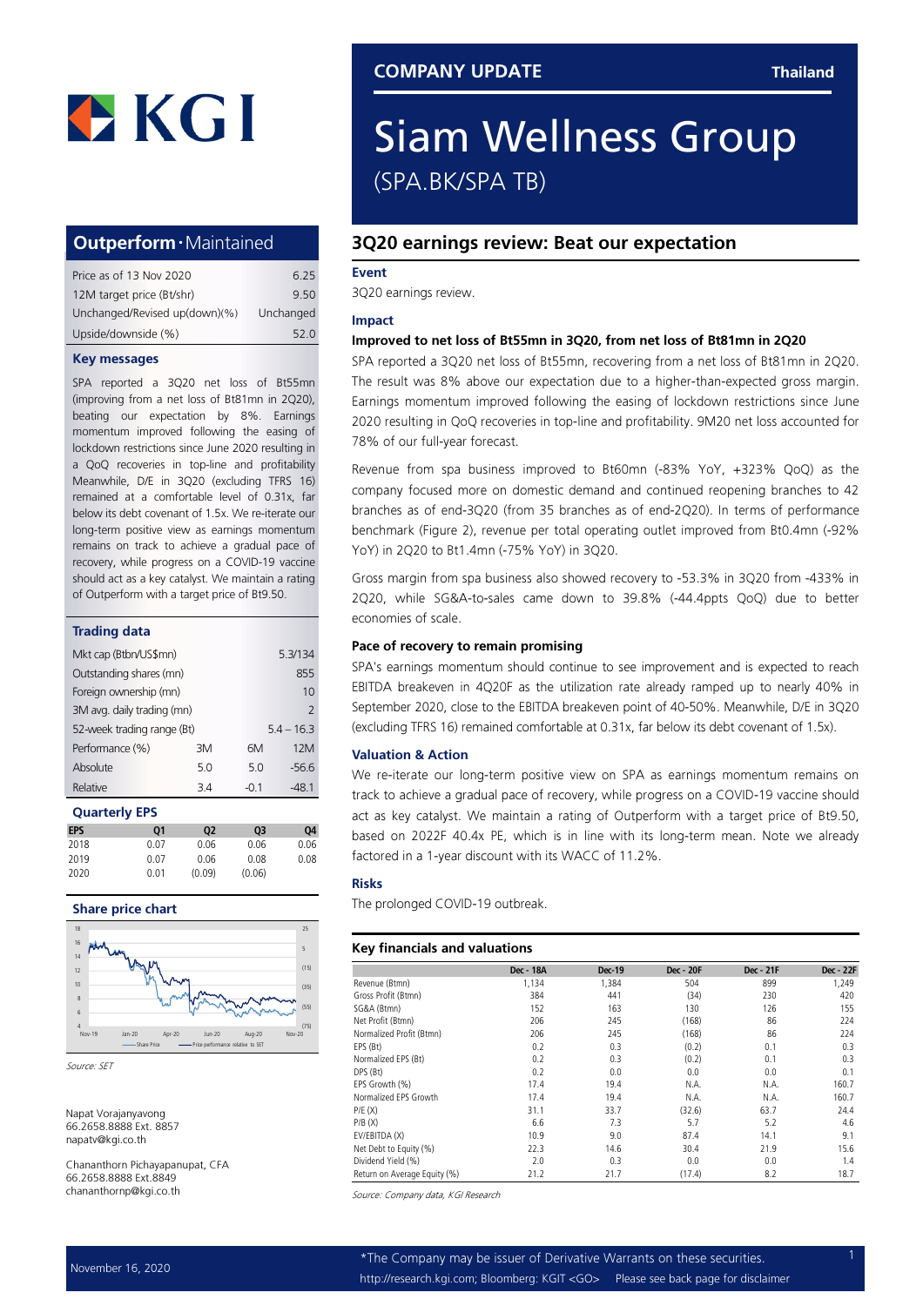

## Outperform‧Maintained

| Price as of 13 Nov 2020       | 6.25      |
|-------------------------------|-----------|
| 12M target price (Bt/shr)     | 9.50      |
| Unchanged/Revised up(down)(%) | Unchanged |
| Upside/downside (%)           | 52 Q      |

#### Key messages

SPA reported a 3Q20 net loss of Bt55mn (improving from a net loss of Bt81mn in 2Q20), beating our expectation by 8%. Earnings momentum improved following the easing of lockdown restrictions since June 2020 resulting in a QoQ recoveries in top-line and profitability Meanwhile, D/E in 3Q20 (excluding TFRS 16) remained at a comfortable level of 0.31x, far below its debt covenant of 1.5x. We re-iterate our long-term positive view as earnings momentum remains on track to achieve a gradual pace of recovery, while progress on a COVID-19 vaccine should act as a key catalyst. We maintain a rating of Outperform with a target price of Bt9.50.

#### Trading data

| Mkt cap (Btbn/US\$mn)      |    | 5.3/134 |              |
|----------------------------|----|---------|--------------|
| Outstanding shares (mn)    |    |         | 855          |
| Foreign ownership (mn)     |    |         | 10           |
| 3M avg. daily trading (mn) |    |         | 2            |
| 52-week trading range (Bt) |    |         | $5.4 - 16.3$ |
| Performance (%)            | ЗM | 6M      | 12M          |
| Absolute                   | 50 | 5.0     | -56.6        |
| Relative                   | 34 | -0.1    | -48 1        |

#### Quarterly EPS

| <b>EPS</b> | 01   | 02     | 03     | 04   |
|------------|------|--------|--------|------|
| 2018       | 0.07 | 0.06   | 0.06   | 0.06 |
| 2019       | 0.07 | 0.06   | 0.08   | 0.08 |
| 2020       | 0.01 | (0.09) | (0.06) |      |
|            |      |        |        |      |

#### Share price chart



Source: SET

Napat Vorajanyavong 66.2658.8888 Ext. 8857 napatv@kgi.co.th

Chananthorn Pichayapanupat, CFA 66.2658.8888 Ext.8849 chananthornp@kgi.co.th

## Siam Wellness Group (SPA.BK/SPA TB)

### 3Q20 earnings review: Beat our expectation

#### Event

3Q20 earnings review.

#### Impact

#### Improved to net loss of Bt55mn in 3Q20, from net loss of Bt81mn in 2Q20

SPA reported a 3Q20 net loss of Bt55mn, recovering from a net loss of Bt81mn in 2Q20. The result was 8% above our expectation due to a higher-than-expected gross margin. Earnings momentum improved following the easing of lockdown restrictions since June 2020 resulting in QoQ recoveries in top-line and profitability. 9M20 net loss accounted for 78% of our full-year forecast.

Revenue from spa business improved to Bt60mn (+83% YoY, +323% QoQ) as the company focused more on domestic demand and continued reopening branches to 42 branches as of end+3Q20 (from 35 branches as of end+2Q20). In terms of performance benchmark (Figure 2), revenue per total operating outlet improved from Bt0.4mn (+92% YoY) in 2Q20 to Bt1.4mn (+75% YoY) in 3Q20.

Gross margin from spa business also showed recovery to +53.3% in 3Q20 from +433% in 2Q20, while SG&A-to-sales came down to 39.8% (-44.4ppts QoQ) due to better economies of scale.

#### Pace of recovery to remain promising

SPA's earnings momentum should continue to see improvement and is expected to reach EBITDA breakeven in 4Q20F as the utilization rate already ramped up to nearly 40% in September 2020, close to the EBITDA breakeven point of 40-50%. Meanwhile, D/E in 3Q20 (excluding TFRS 16) remained comfortable at 0.31x, far below its debt covenant of 1.5x).

#### Valuation & Action

We re-iterate our long-term positive view on SPA as earnings momentum remains on track to achieve a gradual pace of recovery, while progress on a COVID-19 vaccine should act as key catalyst. We maintain a rating of Outperform with a target price of Bt9.50, based on 2022F 40.4x PE, which is in line with its long+term mean. Note we already factored in a 1-year discount with its WACC of 11.2%.

#### Risks

The prolonged COVID-19 outbreak.

#### Key financials and valuations

|                              | Dec - 18A | <b>Dec-19</b> | <b>Dec - 20F</b> | Dec - 21F | Dec - 22F |
|------------------------------|-----------|---------------|------------------|-----------|-----------|
| Revenue (Btmn)               | 1,134     | 1,384         | 504              | 899       | 1,249     |
| Gross Profit (Btmn)          | 384       | 441           | (34)             | 230       | 420       |
| SG&A (Btmn)                  | 152       | 163           | 130              | 126       | 155       |
| Net Profit (Btmn)            | 206       | 245           | (168)            | 86        | 224       |
| Normalized Profit (Btmn)     | 206       | 245           | (168)            | 86        | 224       |
| EPS (Bt)                     | 0.2       | 0.3           | (0.2)            | 0.1       | 0.3       |
| Normalized EPS (Bt)          | 0.2       | 0.3           | (0.2)            | 0.1       | 0.3       |
| DPS (Bt)                     | 0.2       | 0.0           | 0.0              | 0.0       | 0.1       |
| EPS Growth (%)               | 17.4      | 19.4          | N.A.             | N.A.      | 160.7     |
| Normalized FPS Growth        | 17.4      | 19.4          | N.A.             | N.A.      | 160.7     |
| P/E(X)                       | 31.1      | 33.7          | (32.6)           | 63.7      | 24.4      |
| P/B(X)                       | 6.6       | 7.3           | 5.7              | 5.2       | 4.6       |
| EV/EBITDA (X)                | 10.9      | 9.0           | 87.4             | 14.1      | 9.1       |
| Net Debt to Equity (%)       | 22.3      | 14.6          | 30.4             | 21.9      | 15.6      |
| Dividend Yield (%)           | 2.0       | 0.3           | 0.0              | 0.0       | 1.4       |
| Return on Average Equity (%) | 21.2      | 21.7          | (17.4)           | 8.2       | 18.7      |

Source: Company data, KGI Research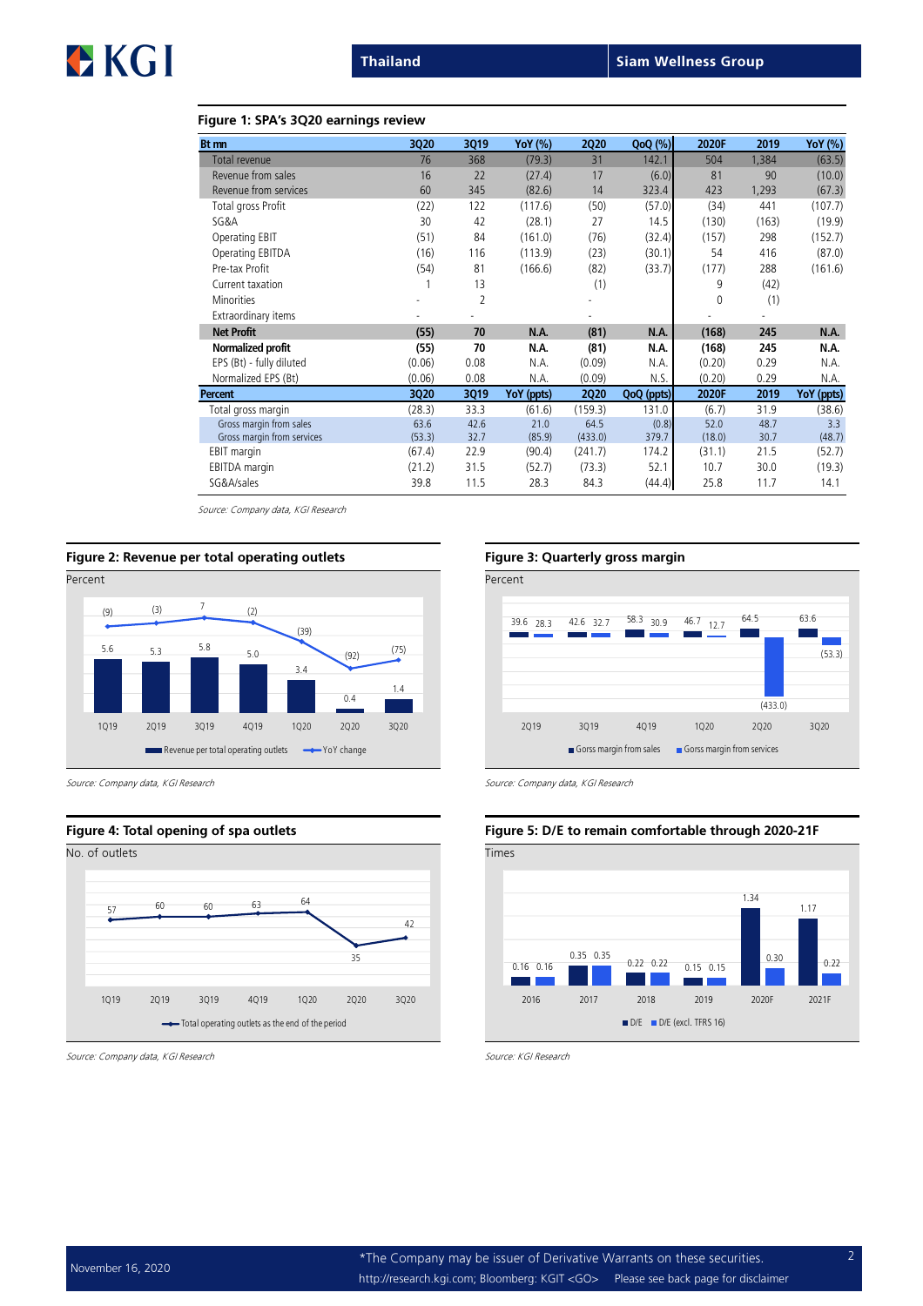# EKGI

#### Figure 1: SPA's 3Q20 earnings review

| Bt mn                      | 3Q20   | 3Q19           | <b>YoY</b> (%) | <b>2Q20</b> | $QoQ(\%)$  | 2020F       | 2019  | <b>YoY</b> (%) |
|----------------------------|--------|----------------|----------------|-------------|------------|-------------|-------|----------------|
| Total revenue              | 76     | 368            | (79.3)         | 31          | 142.1      | 504         | 1,384 | (63.5)         |
| Revenue from sales         | 16     | 22             | (27.4)         | 17          | (6.0)      | 81          | 90    | (10.0)         |
| Revenue from services      | 60     | 345            | (82.6)         | 14          | 323.4      | 423         | 1,293 | (67.3)         |
| Total gross Profit         | (22)   | 122            | (117.6)        | (50)        | (57.0)     | (34)        | 441   | (107.7)        |
| SG&A                       | 30     | 42             | (28.1)         | 27          | 14.5       | (130)       | (163) | (19.9)         |
| Operating EBIT             | (51)   | 84             | (161.0)        | (76)        | (32.4)     | (157)       | 298   | (152.7)        |
| Operating EBITDA           | (16)   | 116            | (113.9)        | (23)        | (30.1)     | 54          | 416   | (87.0)         |
| Pre-tax Profit             | (54)   | 81             | (166.6)        | (82)        | (33.7)     | (177)       | 288   | (161.6)        |
| Current taxation           |        | 13             |                | (1)         |            | 9           | (42)  |                |
| <b>Minorities</b>          |        | $\overline{2}$ |                |             |            | $\mathbf 0$ | (1)   |                |
| Extraordinary items        |        |                |                |             |            |             |       |                |
| <b>Net Profit</b>          | (55)   | 70             | N.A.           | (81)        | N.A.       | (168)       | 245   | N.A.           |
| Normalized profit          | (55)   | 70             | N.A.           | (81)        | N.A.       | (168)       | 245   | N.A.           |
| EPS (Bt) - fully diluted   | (0.06) | 0.08           | N.A.           | (0.09)      | N.A.       | (0.20)      | 0.29  | N.A.           |
| Normalized EPS (Bt)        | (0.06) | 0.08           | N.A.           | (0.09)      | N.S.       | (0.20)      | 0.29  | N.A.           |
| Percent                    | 3Q20   | 3Q19           | YoY (ppts)     | <b>2Q20</b> | QoQ (ppts) | 2020F       | 2019  | YoY (ppts)     |
| Total gross margin         | (28.3) | 33.3           | (61.6)         | (159.3)     | 131.0      | (6.7)       | 31.9  | (38.6)         |
| Gross margin from sales    | 63.6   | 42.6           | 21.0           | 64.5        | (0.8)      | 52.0        | 48.7  | 3.3            |
| Gross margin from services | (53.3) | 32.7           | (85.9)         | (433.0)     | 379.7      | (18.0)      | 30.7  | (48.7)         |
| EBIT margin                | (67.4) | 22.9           | (90.4)         | (241.7)     | 174.2      | (31.1)      | 21.5  | (52.7)         |
| <b>EBITDA</b> margin       | (21.2) | 31.5           | (52.7)         | (73.3)      | 52.1       | 10.7        | 30.0  | (19.3)         |
| SG&A/sales                 | 39.8   | 11.5           | 28.3           | 84.3        | (44.4)     | 25.8        | 11.7  | 14.1           |

Source: Company data, KGI Research



Source: Company data, KGI Research Source: Company data, KGI Research Source: Company data, KGI Research



Source: Company data, KGI Research Source: KGI Research Source: KGI Research



#### Figure 4: Total opening of spa outlets Figure 5: D/E to remain comfortable through 2020-21F

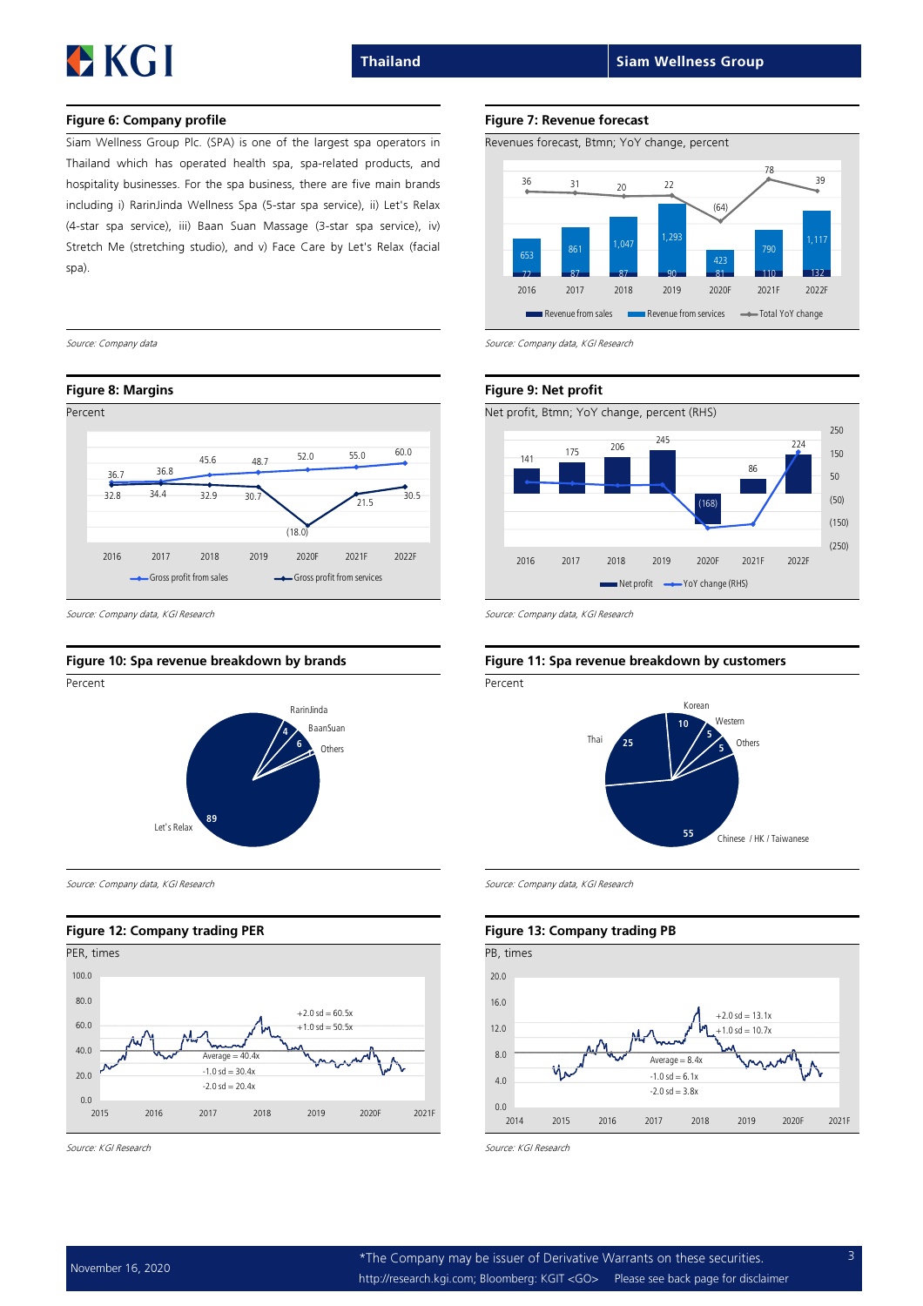# EKGI

#### Figure 6: Company profile Figure 7: Revenue forecast

Siam Wellness Group Plc. (SPA) is one of the largest spa operators in Thailand which has operated health spa, sparelated products, and hospitality businesses. For the spa business, there are five main brands including i) RarinJinda Wellness Spa (5-star spa service), ii) Let's Relax (4-star spa service), iii) Baan Suan Massage (3-star spa service), iv) Stretch Me (stretching studio), and v) Face Care by Let's Relax (facial spa).



Source: Company data, KGI Research Source: Company data, KGI Research Source: Company data, KGI Research



Source: Company data, KGI Research Source: Company data, KGI Research Source: Company data, KGI Research

#### Figure 12: Company trading PER Figure 13: Company trading PB

![](_page_2_Figure_13.jpeg)

![](_page_2_Figure_16.jpeg)

![](_page_2_Figure_17.jpeg)

Source: Company data Source: Company data, KGI Research

![](_page_2_Figure_21.jpeg)

#### Figure 10: Spa revenue breakdown by brands Figure 11: Spa revenue breakdown by customers

![](_page_2_Figure_24.jpeg)

#### 0.0 4.0 8.0 12.0 16.0 20.0 2014 2015 2016 2017 2018 2019 2020F 2021F  $Averane = 8.4x$  $-1.0$  sd  $-10.7x$  $+2.0$  sd = 13.1x  $-1.0$  sd = 6.1x  $-2.0$  sd =  $3.8x$

Source: KGI Research Source: KGI Research Source: KGI Research Source: KGI Research Source: KGI Research Source: KGI Research Source: KGI Research Source: KGI Research Source: KGI Research Source: KGI Research Source: KGI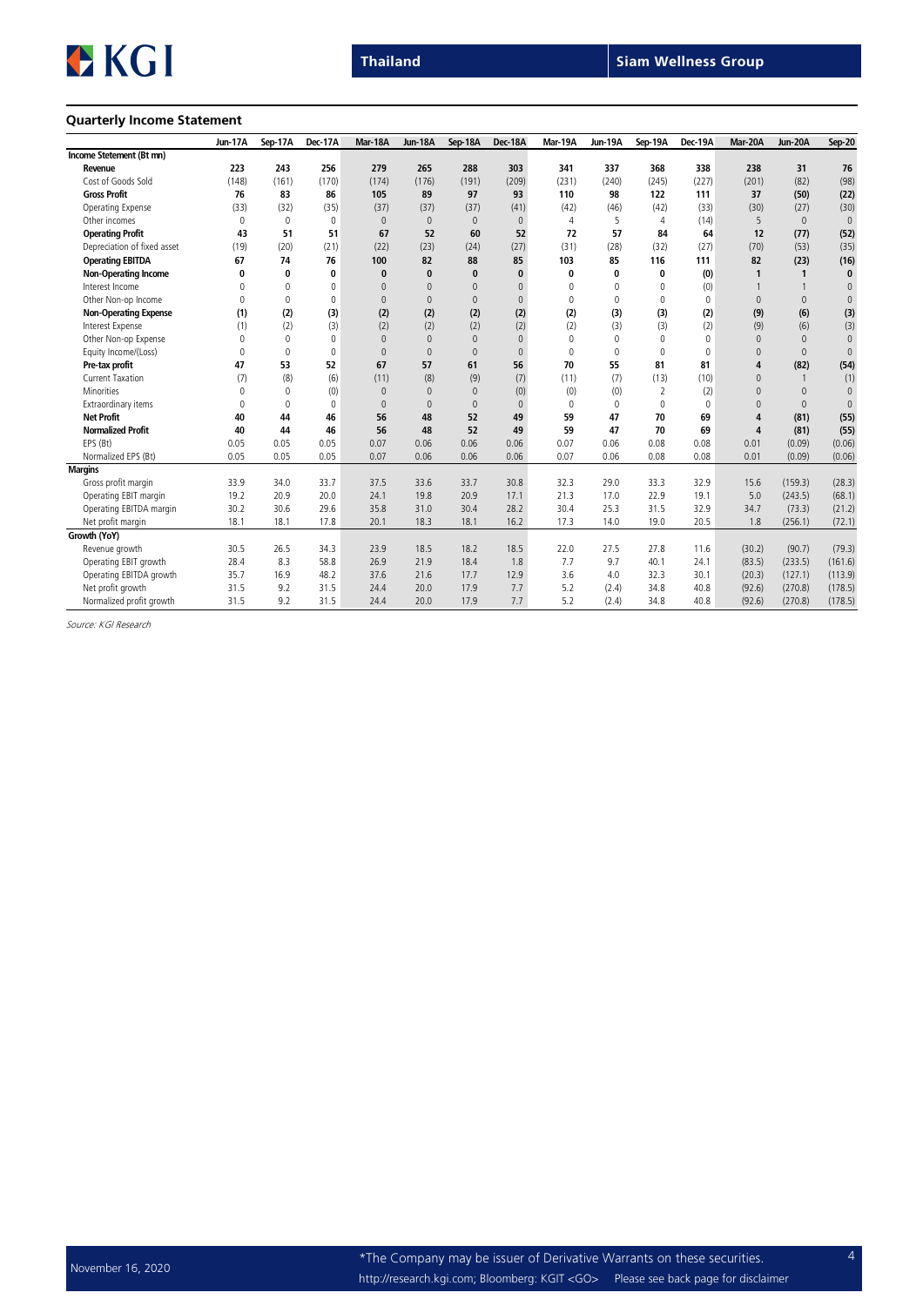![](_page_3_Picture_0.jpeg)

#### Quarterly Income Statement

|                              | <b>Jun-17A</b> | Sep-17A  | Dec-17A  | Mar-18A      | <b>Jun-18A</b> | Sep-18A      | Dec-18A        | Mar-19A  | Jun-19A     | Sep-19A     | Dec-19A      | Mar-20A        | Jun-20A        | <b>Sep-20</b> |
|------------------------------|----------------|----------|----------|--------------|----------------|--------------|----------------|----------|-------------|-------------|--------------|----------------|----------------|---------------|
| Income Stetement (Bt mn)     |                |          |          |              |                |              |                |          |             |             |              |                |                |               |
| Revenue                      | 223            | 243      | 256      | 279          | 265            | 288          | 303            | 341      | 337         | 368         | 338          | 238            | 31             | 76            |
| Cost of Goods Sold           | (148)          | (161)    | (170)    | (174)        | (176)          | (191)        | (209)          | (231)    | (240)       | (245)       | (227)        | (201)          | (82)           | (98)          |
| <b>Gross Profit</b>          | 76             | 83       | 86       | 105          | 89             | 97           | 93             | 110      | 98          | 122         | 111          | 37             | (50)           | (22)          |
| Operating Expense            | (33)           | (32)     | (35)     | (37)         | (37)           | (37)         | (41)           | (42)     | (46)        | (42)        | (33)         | (30)           | (27)           | (30)          |
| Other incomes                | $\Omega$       | $\Omega$ | $\Omega$ | $\mathbf{0}$ | $\mathbf{0}$   | $\mathbf{0}$ | $\Omega$       | 4        | 5           | 4           | (14)         | 5              | $\Omega$       | $\mathbf{0}$  |
| <b>Operating Profit</b>      | 43             | 51       | 51       | 67           | 52             | 60           | 52             | 72       | 57          | 84          | 64           | 12             | (77)           | (52)          |
| Depreciation of fixed asset  | (19)           | (20)     | (21)     | (22)         | (23)           | (24)         | (27)           | (31)     | (28)        | (32)        | (27)         | (70)           | (53)           | (35)          |
| <b>Operating EBITDA</b>      | 67             | 74       | 76       | 100          | 82             | 88           | 85             | 103      | 85          | 116         | 111          | 82             | (23)           | (16)          |
| <b>Non-Operating Income</b>  | $\mathbf{0}$   | 0        | 0        | $\bf{0}$     | $\bf{0}$       | $\bf{0}$     | $\bf{0}$       | $\bf{0}$ | 0           | 0           | (0)          | $\mathbf{1}$   | $\mathbf{1}$   | 0             |
| Interest Income              | $\Omega$       | $\Omega$ | $\Omega$ | $\Omega$     | $\mathbf{0}$   | $\Omega$     | $\Omega$       | $\Omega$ | 0           | 0           | (0)          |                |                | $\mathbb O$   |
| Other Non-op Income          | $\Omega$       | $\Omega$ | $\Omega$ | $\Omega$     | $\mathbf{0}$   | $\Omega$     | $\overline{0}$ | $\Omega$ | $\Omega$    | $\Omega$    | $\Omega$     | $\Omega$       | $\Omega$       | $\mathbb O$   |
| <b>Non-Operating Expense</b> | (1)            | (2)      | (3)      | (2)          | (2)            | (2)          | (2)            | (2)      | (3)         | (3)         | (2)          | (9)            | (6)            | (3)           |
| Interest Expense             | (1)            | (2)      | (3)      | (2)          | (2)            | (2)          | (2)            | (2)      | (3)         | (3)         | (2)          | (9)            | (6)            | (3)           |
| Other Non-op Expense         | $\Omega$       | 0        | $\Omega$ | $\mathbf{0}$ | $\mathbf{0}$   | $\mathbf{0}$ | $\Omega$       | $\Omega$ | 0           | $\mathbf 0$ | $\mathbf{0}$ | $\Omega$       | $\Omega$       | $\mathbb O$   |
| Equity Income/(Loss)         | $\Omega$       | $\Omega$ | $\Omega$ | $\Omega$     | $\mathbf{0}$   | $\Omega$     | $\Omega$       | $\theta$ | $\mathbf 0$ | $\mathbf 0$ | $\mathbf{0}$ | $\Omega$       | $\Omega$       | $\mathbf{0}$  |
| Pre-tax profit               | 47             | 53       | 52       | 67           | 57             | 61           | 56             | 70       | 55          | 81          | 81           | 4              | (82)           | (54)          |
| <b>Current Taxation</b>      | (7)            | (8)      | (6)      | (11)         | (8)            | (9)          | (7)            | (11)     | (7)         | (13)        | (10)         | $\Omega$       | $\overline{1}$ | (1)           |
| Minorities                   | $\Omega$       | $\Omega$ | (0)      | $\mathbf{0}$ | $\mathbf{0}$   | $\mathbf{0}$ | (0)            | (0)      | (0)         | 2           | (2)          | $\Omega$       | $\Omega$       | $\mathbb O$   |
| Extraordinary items          | $\Omega$       | $\Omega$ | $\Omega$ | $\Omega$     | $\mathbf{0}$   | $\Omega$     | $\Omega$       | $\Omega$ | $\Omega$    | $\Omega$    | $\Omega$     | $\Omega$       | $\Omega$       | $\mathbf{0}$  |
| <b>Net Profit</b>            | 40             | 44       | 46       | 56           | 48             | 52           | 49             | 59       | 47          | 70          | 69           | $\overline{a}$ | (81)           | (55)          |
| <b>Normalized Profit</b>     | 40             | 44       | 46       | 56           | 48             | 52           | 49             | 59       | 47          | 70          | 69           | $\overline{4}$ | (81)           | (55)          |
| EPS (Bt)                     | 0.05           | 0.05     | 0.05     | 0.07         | 0.06           | 0.06         | 0.06           | 0.07     | 0.06        | 0.08        | 0.08         | 0.01           | (0.09)         | (0.06)        |
| Normalized EPS (Bt)          | 0.05           | 0.05     | 0.05     | 0.07         | 0.06           | 0.06         | 0.06           | 0.07     | 0.06        | 0.08        | 0.08         | 0.01           | (0.09)         | (0.06)        |
| <b>Margins</b>               |                |          |          |              |                |              |                |          |             |             |              |                |                |               |
| Gross profit margin          | 33.9           | 34.0     | 33.7     | 37.5         | 33.6           | 33.7         | 30.8           | 32.3     | 29.0        | 33.3        | 32.9         | 15.6           | (159.3)        | (28.3)        |
| Operating EBIT margin        | 19.2           | 20.9     | 20.0     | 24.1         | 19.8           | 20.9         | 17.1           | 21.3     | 17.0        | 22.9        | 19.1         | 5.0            | (243.5)        | (68.1)        |
| Operating EBITDA margin      | 30.2           | 30.6     | 29.6     | 35.8         | 31.0           | 30.4         | 28.2           | 30.4     | 25.3        | 31.5        | 32.9         | 34.7           | (73.3)         | (21.2)        |
| Net profit margin            | 18.1           | 18.1     | 17.8     | 20.1         | 18.3           | 18.1         | 16.2           | 17.3     | 14.0        | 19.0        | 20.5         | 1.8            | (256.1)        | (72.1)        |
| Growth (YoY)                 |                |          |          |              |                |              |                |          |             |             |              |                |                |               |
| Revenue growth               | 30.5           | 26.5     | 34.3     | 23.9         | 18.5           | 18.2         | 18.5           | 22.0     | 27.5        | 27.8        | 11.6         | (30.2)         | (90.7)         | (79.3)        |
| Operating EBIT growth        | 28.4           | 8.3      | 58.8     | 26.9         | 21.9           | 18.4         | 1.8            | 7.7      | 9.7         | 40.1        | 24.1         | (83.5)         | (233.5)        | (161.6)       |
| Operating EBITDA growth      | 35.7           | 16.9     | 48.2     | 37.6         | 21.6           | 17.7         | 12.9           | 3.6      | 4.0         | 32.3        | 30.1         | (20.3)         | (127.1)        | (113.9)       |
| Net profit growth            | 31.5           | 9.2      | 31.5     | 24.4         | 20.0           | 17.9         | 7.7            | 5.2      | (2.4)       | 34.8        | 40.8         | (92.6)         | (270.8)        | (178.5)       |
| Normalized profit growth     | 31.5           | 9.2      | 31.5     | 24.4         | 20.0           | 17.9         | 7.7            | 5.2      | (2.4)       | 34.8        | 40.8         | (92.6)         | (270.8)        | (178.5)       |

Source: KGI Research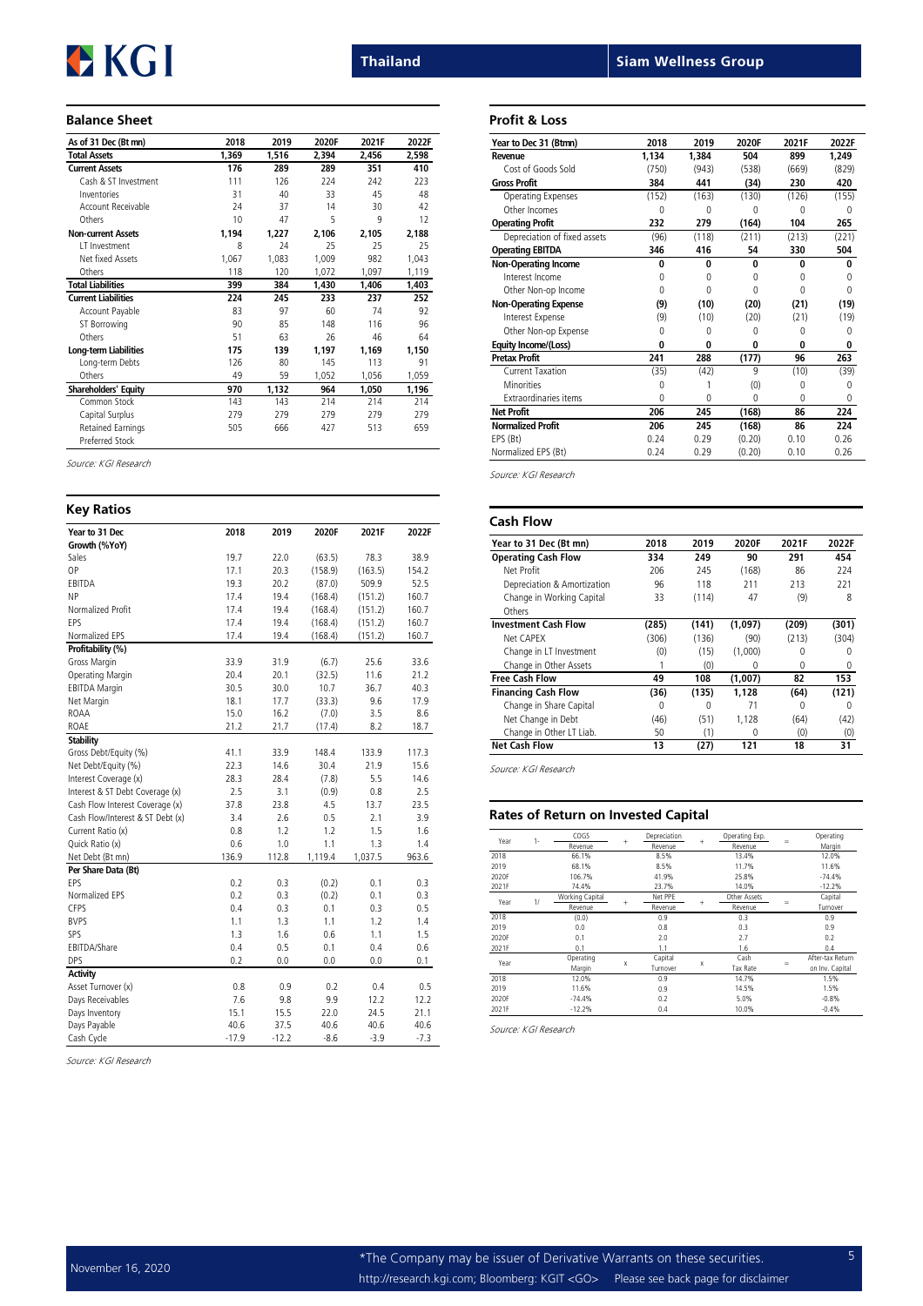# EKGI

#### Balance Sheet

| As of 31 Dec (Bt mn)        | 2018  | 2019  | 2020F | 2021F | 2022F |
|-----------------------------|-------|-------|-------|-------|-------|
| <b>Total Assets</b>         | 1,369 | 1,516 | 2,394 | 2,456 | 2,598 |
| <b>Current Assets</b>       | 176   | 289   | 289   | 351   | 410   |
| Cash & ST Investment        | 111   | 126   | 224   | 242   | 223   |
| Inventories                 | 31    | 40    | 33    | 45    | 48    |
| Account Receivable          | 24    | 37    | 14    | 30    | 42    |
| Others                      | 10    | 47    | 5     | 9     | 12    |
| <b>Non-current Assets</b>   | 1,194 | 1,227 | 2,106 | 2,105 | 2,188 |
| IT Investment               | 8     | 24    | 25    | 25    | 25    |
| Net fixed Assets            | 1,067 | 1,083 | 1,009 | 982   | 1,043 |
| Others                      | 118   | 120   | 1,072 | 1,097 | 1,119 |
| <b>Total Liabilities</b>    | 399   | 384   | 1,430 | 1,406 | 1,403 |
| <b>Current Liabilities</b>  | 224   | 245   | 233   | 237   | 252   |
| Account Payable             | 83    | 97    | 60    | 74    | 92    |
| ST Borrowing                | 90    | 85    | 148   | 116   | 96    |
| Others                      | 51    | 63    | 26    | 46    | 64    |
| Long-term Liabilities       | 175   | 139   | 1,197 | 1,169 | 1,150 |
| Long-term Debts             | 126   | 80    | 145   | 113   | 91    |
| Others                      | 49    | 59    | 1,052 | 1,056 | 1,059 |
| <b>Shareholders' Equity</b> | 970   | 1,132 | 964   | 1,050 | 1,196 |
| Common Stock                | 143   | 143   | 214   | 214   | 214   |
| Capital Surplus             | 279   | 279   | 279   | 279   | 279   |
| <b>Retained Earnings</b>    | 505   | 666   | 427   | 513   | 659   |
| Preferred Stock             |       |       |       |       |       |

Source: KGI Research

| <b>Key Ratios</b>                |         |         |         |         |        |
|----------------------------------|---------|---------|---------|---------|--------|
| Year to 31 Dec                   | 2018    | 2019    | 2020F   | 2021F   | 2022F  |
| Growth (%YoY)                    |         |         |         |         |        |
| Sales                            | 19.7    | 22.0    | (63.5)  | 78.3    | 38.9   |
| 0P                               | 17.1    | 20.3    | (158.9) | (163.5) | 154.2  |
| EBITDA                           | 19.3    | 20.2    | (87.0)  | 509.9   | 52.5   |
| <b>NP</b>                        | 17.4    | 19.4    | (168.4) | (151.2) | 160.7  |
| Normalized Profit                | 17.4    | 19.4    | (168.4) | (151.2) | 160.7  |
| FPS                              | 17.4    | 19.4    | (168.4) | (151.2) | 160.7  |
| Normalized EPS                   | 17.4    | 19.4    | (168.4) | (151.2) | 160.7  |
| Profitability (%)                |         |         |         |         |        |
| Gross Margin                     | 33.9    | 31.9    | (6.7)   | 25.6    | 33.6   |
| Operating Margin                 | 20.4    | 20.1    | (32.5)  | 11.6    | 21.2   |
| <b>EBITDA Margin</b>             | 30.5    | 30.0    | 10.7    | 36.7    | 40.3   |
| Net Margin                       | 18.1    | 17.7    | (33.3)  | 9.6     | 17.9   |
| ROAA                             | 15.0    | 16.2    | (7.0)   | 3.5     | 8.6    |
| <b>ROAE</b>                      | 21.2    | 21.7    | (17.4)  | 8.2     | 18.7   |
| <b>Stability</b>                 |         |         |         |         |        |
| Gross Debt/Equity (%)            | 41.1    | 33.9    | 148.4   | 133.9   | 117.3  |
| Net Debt/Equity (%)              | 22.3    | 14.6    | 30.4    | 21.9    | 15.6   |
| Interest Coverage (x)            | 28.3    | 28.4    | (7.8)   | 5.5     | 14.6   |
| Interest & ST Debt Coverage (x)  | 2.5     | 3.1     | (0.9)   | 0.8     | 2.5    |
| Cash Flow Interest Coverage (x)  | 37.8    | 23.8    | 4.5     | 13.7    | 23.5   |
| Cash Flow/Interest & ST Debt (x) | 3.4     | 2.6     | 0.5     | 2.1     | 3.9    |
| Current Ratio (x)                | 0.8     | 1.2     | 1.2     | 1.5     | 1.6    |
| Quick Ratio (x)                  | 0.6     | 1.0     | 1.1     | 1.3     | 1.4    |
| Net Debt (Bt mn)                 | 136.9   | 112.8   | 1,119.4 | 1,037.5 | 963.6  |
| Per Share Data (Bt)              |         |         |         |         |        |
| FPS                              | 0.2     | 0.3     | (0.2)   | 0.1     | 0.3    |
| Normalized EPS                   | 0.2     | 0.3     | (0.2)   | 0.1     | 0.3    |
| CFPS                             | 0.4     | 0.3     | 0.1     | 0.3     | 0.5    |
| <b>BVPS</b>                      | 1.1     | 1.3     | 1.1     | 1.2     | 1.4    |
| SPS                              | 1.3     | 1.6     | 0.6     | 1.1     | 1.5    |
| EBITDA/Share                     | 0.4     | 0.5     | 0.1     | 0.4     | 0.6    |
| <b>DPS</b>                       | 0.2     | 0.0     | 0.0     | 0.0     | 0.1    |
| Activity                         |         |         |         |         |        |
| Asset Turnover (x)               | 0.8     | 0.9     | 0.2     | 0.4     | 0.5    |
| Days Receivables                 | 7.6     | 9.8     | 9.9     | 12.2    | 12.2   |
| Days Inventory                   | 15.1    | 15.5    | 22.0    | 24.5    | 21.1   |
| Days Payable                     | 40.6    | 37.5    | 40.6    | 40.6    | 40.6   |
| Cash Cycle                       | $-17.9$ | $-12.2$ | $-8.6$  | $-3.9$  | $-7.3$ |

Source: KGI Research

Thailand Siam Wellness Group

#### Profit & Loss

| Year to Dec 31 (Btmn)        | 2018     | 2019     | 2020F        | 2021F    | 2022F    |
|------------------------------|----------|----------|--------------|----------|----------|
| Revenue                      | 1.134    | 1.384    | 504          | 899      | 1.249    |
| Cost of Goods Sold           | (750)    | (943)    | (538)        | (669)    | (829)    |
| <b>Gross Profit</b>          | 384      | 441      | (34)         | 230      | 420      |
| Operating Expenses           | (152)    | (163)    | (130)        | (126)    | (155)    |
| Other Incomes                | 0        | O        | O            | N        | U        |
| <b>Operating Profit</b>      | 232      | 279      | (164)        | 104      | 265      |
| Depreciation of fixed assets | (96)     | (118)    | (211)        | (213)    | (221)    |
| <b>Operating EBITDA</b>      | 346      | 416      | 54           | 330      | 504      |
| <b>Non-Operating Income</b>  | $\Omega$ | $\Omega$ | 0            | $\Omega$ | $\Omega$ |
| Interest Income              | 0        | $\Omega$ | <sup>0</sup> | O        | $\Omega$ |
| Other Non-op Income          | 0        | $\Omega$ | $\Omega$     | O        | $\Omega$ |
| <b>Non-Operating Expense</b> | (9)      | (10)     | (20)         | (21)     | (19)     |
| Interest Expense             | (9)      | (10)     | (20)         | (21)     | (19)     |
| Other Non-op Expense         | 0        | 0        | <sup>0</sup> | 0        | 0        |
| Equity Income/(Loss)         | O        | $\Omega$ | 0            | 0        | 0        |
| <b>Pretax Profit</b>         | 241      | 288      | (177)        | 96       | 263      |
| Current Taxation             | (35)     | (42)     | 9            | (10)     | (39)     |
| <b>Minorities</b>            | 0        |          | (0)          | 0        | 0        |
| <b>Extraordinaries items</b> | U        | O        | <sup>0</sup> | U        | $\Omega$ |
| <b>Net Profit</b>            | 206      | 245      | (168)        | 86       | 224      |
| <b>Normalized Profit</b>     | 206      | 245      | (168)        | 86       | 224      |
| EPS (Bt)                     | 0.24     | 0.29     | (0.20)       | 0.10     | 0.26     |
| Normalized EPS (Bt)          | 0.24     | 0.29     | (0.20)       | 0.10     | 0.26     |

Source: KGI Research

| <b>Cash Flow</b>            |       |       |         |         |              |
|-----------------------------|-------|-------|---------|---------|--------------|
| Year to 31 Dec (Bt mn)      | 2018  | 2019  | 2020F   | 2021F   | 2022F        |
| <b>Operating Cash Flow</b>  | 334   | 249   | 90      | 291     | 454          |
| Net Profit                  | 206   | 245   | (168)   | 86      | 224          |
| Depreciation & Amortization | 96    | 118   | 211     | 213     | 221          |
| Change in Working Capital   | 33    | (114) | 47      | (9)     | 8            |
| Others                      |       |       |         |         |              |
| <b>Investment Cash Flow</b> | (285) | (141) | (1,097) | (209)   | (301)        |
| Net CAPFX                   | (306) | (136) | (90)    | (213)   | (304)        |
| Change in LT Investment     | (0)   | (15)  | (1,000) | $^{()}$ | O            |
| Change in Other Assets      |       | (0)   | 0       | 0       | 0            |
| <b>Free Cash Flow</b>       | 49    | 108   | (1,007) | 82      | 153          |
| <b>Financing Cash Flow</b>  | (36)  | (135) | 1.128   | (64)    | (121)        |
| Change in Share Capital     | 0     | Λ     | 71      | 0       | <sup>0</sup> |
| Net Change in Debt          | (46)  | (51)  | 1,128   | (64)    | (42)         |
| Change in Other LT Liab.    | 50    | (1)   | O       | (0)     | (0)          |
| <b>Net Cash Flow</b>        | 13    | (27)  | 121     | 18      | 31           |

Source: KGI Research

### Rates of Return on Invested Capital

| Year  | 1- | COGS<br>Revenue | $\ddot{}$ | Depreciation<br>Revenue | $\ddot{}$ | Operating Exp.<br>Revenue | $=$ | Operating<br>Margin |
|-------|----|-----------------|-----------|-------------------------|-----------|---------------------------|-----|---------------------|
|       |    |                 |           |                         |           |                           |     |                     |
| 2018  |    | 66.1%           |           | 8.5%                    |           | 13.4%                     |     | 12.0%               |
| 2019  |    | 68.1%           |           | 8.5%                    |           | 11.7%                     |     | 11.6%               |
| 2020F |    | 106.7%          |           | 41.9%                   |           | 25.8%                     |     | $-74.4%$            |
| 2021F |    | 74.4%           |           | 23.7%                   |           | 14.0%                     |     | $-12.2%$            |
| Year  | 1/ | Working Capital | $+$       | Net PPE                 |           | Other Assets              |     | Capital             |
|       |    | Revenue         |           | Revenue                 | ÷         | Revenue                   | $=$ | Turnover            |
| 2018  |    | (0.0)           |           | 0.9                     |           | 0.3                       |     | 0.9                 |
| 2019  |    | 0.0             |           | 0.8                     |           | 0.3                       |     | 0.9                 |
| 2020F |    | 0.1             |           | 2.0                     |           | 2.7                       |     | 0.2                 |
| 2021F |    | 0.1             |           | 1.1                     |           | 1.6                       |     | 0.4                 |
|       |    | Operating       |           | Capital                 |           | Cash                      |     | After-tax Return    |
| Year  |    | Margin          | X         | Turnover                | X         | <b>Tax Rate</b>           | =   | on Inv. Capital     |
| 2018  |    | 12.0%           |           | 0.9                     |           | 14.7%                     |     | 1.5%                |
| 2019  |    | 11.6%           |           | 0.9                     |           | 14.5%                     |     | 1.5%                |
| 2020F |    | $-74.4%$        |           | 0.2                     |           | 5.0%                      |     | $-0.8%$             |
| 2021F |    | $-12.2%$        |           | 0.4                     |           | 10.0%                     |     | $-0.4%$             |

Source: KGI Research

November 16, 2020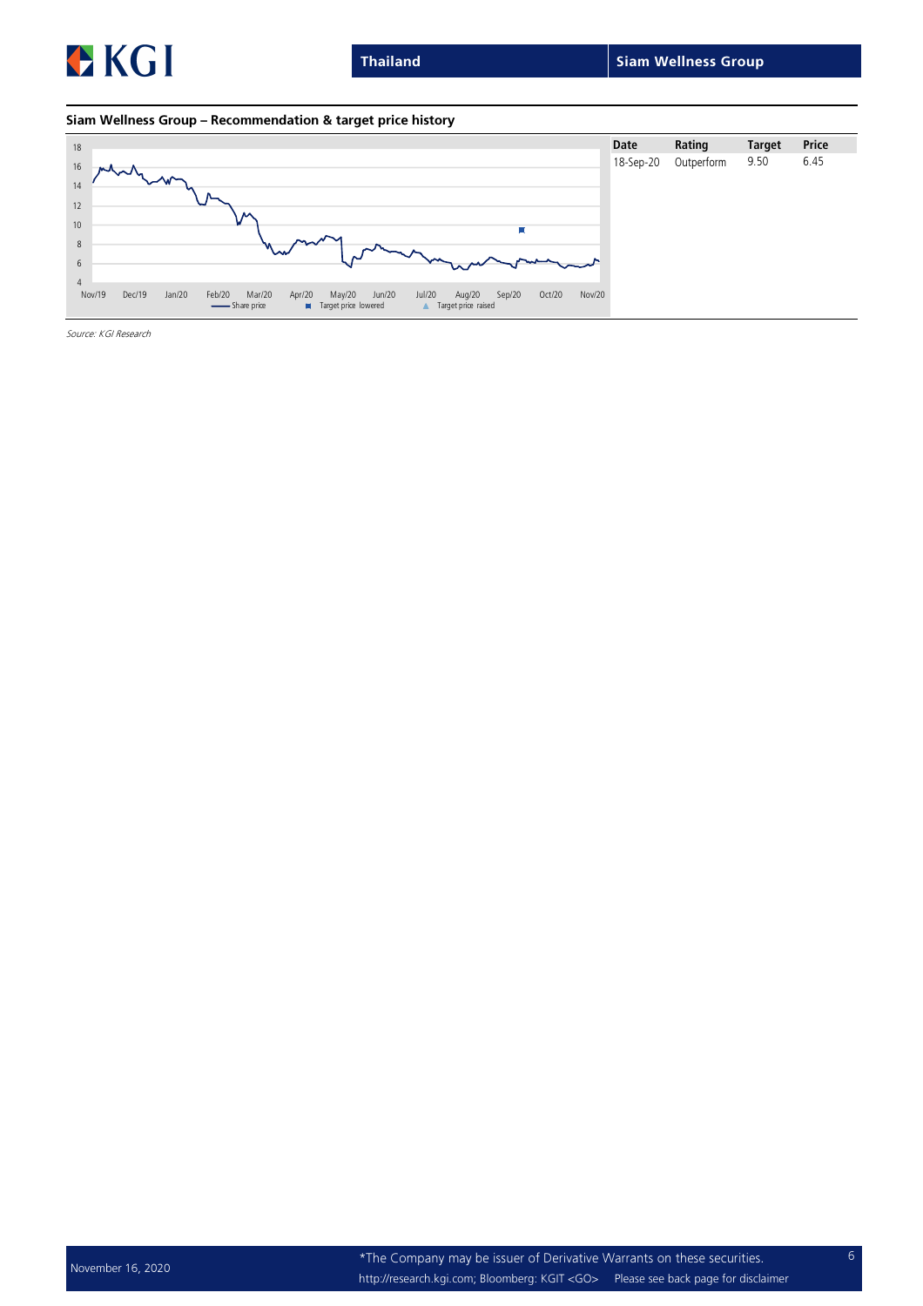![](_page_5_Picture_0.jpeg)

Thailand Siam Wellness Group

#### Siam Wellness Group – Recommendation & target price history

![](_page_5_Figure_4.jpeg)

Source: KGI Research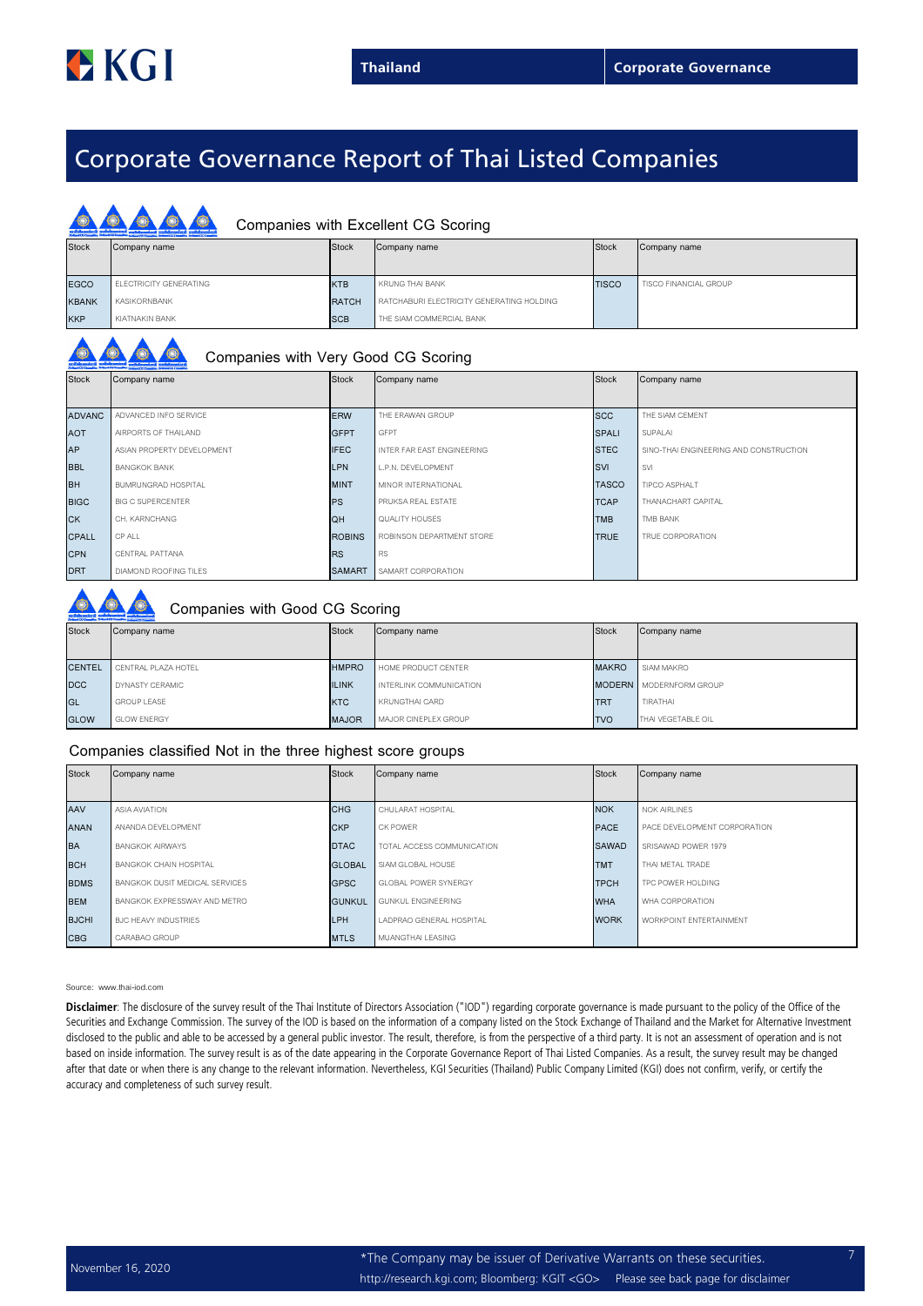## Corporate Governance Report of Thai Listed Companies

|              | Companies with Excellent CG Scoring |              |                                           |              |                       |  |  |  |  |  |
|--------------|-------------------------------------|--------------|-------------------------------------------|--------------|-----------------------|--|--|--|--|--|
| <b>Stock</b> | Company name                        | <b>Stock</b> | Company name                              | Stock        | Company name          |  |  |  |  |  |
|              |                                     |              |                                           |              |                       |  |  |  |  |  |
| <b>EGCO</b>  | ELECTRICITY GENERATING              | <b>KTB</b>   | KRUNG THAI BANK                           | <b>TISCO</b> | TISCO FINANCIAL GROUP |  |  |  |  |  |
| <b>KBANK</b> | KASIKORNBANK                        | <b>RATCH</b> | RATCHABURI ELECTRICITY GENERATING HOLDING |              |                       |  |  |  |  |  |
| <b>KKP</b>   | KIATNAKIN BANK                      | <b>SCB</b>   | THE SIAM COMMERCIAL BANK                  |              |                       |  |  |  |  |  |

| <b>Stock</b> | Company name |  |
|--------------|--------------|--|

### Companies with Very Good CG Scoring

| <b>Stock</b>  | Company name               | Stock         | Company name               | <b>Stock</b> | Company name                           |
|---------------|----------------------------|---------------|----------------------------|--------------|----------------------------------------|
|               |                            |               |                            |              |                                        |
| <b>ADVANC</b> | ADVANCED INFO SERVICE      | <b>ERW</b>    | THE ERAWAN GROUP           | <b>SCC</b>   | THE SIAM CEMENT                        |
| <b>AOT</b>    | AIRPORTS OF THAILAND       | <b>GFPT</b>   | GFPT                       | <b>SPALI</b> | SUPALAI                                |
| <b>AP</b>     | ASIAN PROPERTY DEVELOPMENT | <b>IFEC</b>   | INTER FAR EAST ENGINEERING | <b>STEC</b>  | SINO-THAI ENGINEERING AND CONSTRUCTION |
| <b>BBL</b>    | <b>BANGKOK BANK</b>        | <b>LPN</b>    | L.P.N. DEVELOPMENT         | <b>SVI</b>   | <b>SVI</b>                             |
| <b>BH</b>     | BUMRUNGRAD HOSPITAL        | <b>MINT</b>   | MINOR INTERNATIONAL        | <b>TASCO</b> | TIPCO ASPHALT                          |
| <b>BIGC</b>   | <b>BIG C SUPERCENTER</b>   | <b>PS</b>     | PRUKSA REAL ESTATE         | <b>TCAP</b>  | THANACHART CAPITAL                     |
| <b>CK</b>     | CH. KARNCHANG              | <b>QH</b>     | QUALITY HOUSES             | <b>TMB</b>   | TMB BANK                               |
| <b>CPALL</b>  | CP ALL                     | <b>ROBINS</b> | ROBINSON DEPARTMENT STORE  | <b>TRUE</b>  | TRUE CORPORATION                       |
| <b>CPN</b>    | CENTRAL PATTANA            | <b>RS</b>     | <b>RS</b>                  |              |                                        |
| <b>DRT</b>    | DIAMOND ROOFING TILES      | <b>SAMART</b> | SAMART CORPORATION         |              |                                        |

### Companies with Good CG Scoring

| <b>Stock</b>  | Company name        | <b>Stock</b> | Company name            | Stock        | Company name                   |  |
|---------------|---------------------|--------------|-------------------------|--------------|--------------------------------|--|
| <b>CENTEL</b> | CENTRAL PLAZA HOTEL | <b>HMPRO</b> | HOME PRODUCT CENTER     | <b>MAKRO</b> | SIAM MAKRO                     |  |
| <b>DCC</b>    | DYNASTY CERAMIC     | <b>ILINK</b> | INTERLINK COMMUNICATION |              | <b>MODERN</b> MODERNFORM GROUP |  |
| GL            | <b>GROUP LEASE</b>  | <b>KTC</b>   | <b>KRUNGTHAI CARD</b>   | <b>TRT</b>   | TIRATHAI                       |  |
| <b>GLOW</b>   | <b>GLOW ENERGY</b>  | <b>MAJOR</b> | MAJOR CINEPLEX GROUP    | <b>TVO</b>   | THAI VEGETABLE OIL             |  |

#### Companies classified Not in the three highest score groups

| <b>Stock</b> | Stock<br>Company name          |               | Company name                | <b>Stock</b> | Company name                   |
|--------------|--------------------------------|---------------|-----------------------------|--------------|--------------------------------|
|              |                                |               |                             |              |                                |
| AAV          | ASIA AVIATION                  | <b>CHG</b>    | CHULARAT HOSPITAL           | <b>NOK</b>   | <b>NOK AIRLINES</b>            |
| <b>ANAN</b>  | ANANDA DEVELOPMENT             | <b>CKP</b>    | CK POWER                    | <b>PACE</b>  | PACE DEVELOPMENT CORPORATION   |
| <b>BA</b>    | <b>BANGKOK AIRWAYS</b>         | <b>DTAC</b>   | TOTAL ACCESS COMMUNICATION  | <b>SAWAD</b> | SRISAWAD POWER 1979            |
| <b>BCH</b>   | <b>BANGKOK CHAIN HOSPITAL</b>  | <b>GLOBAL</b> | SIAM GLOBAL HOUSE           | <b>TMT</b>   | THAI METAL TRADE               |
| <b>BDMS</b>  | BANGKOK DUSIT MEDICAL SERVICES | <b>GPSC</b>   | <b>GLOBAL POWER SYNERGY</b> | <b>TPCH</b>  | TPC POWER HOLDING              |
| <b>BEM</b>   | BANGKOK EXPRESSWAY AND METRO   | <b>GUNKUL</b> | GUNKUL ENGINEERING          | <b>WHA</b>   | WHA CORPORATION                |
| <b>BJCHI</b> | BJC HEAVY INDUSTRIES           | LPH           | LADPRAO GENERAL HOSPITAL    | <b>WORK</b>  | <b>WORKPOINT ENTERTAINMENT</b> |
| <b>CBG</b>   | CARABAO GROUP                  | <b>MTLS</b>   | MUANGTHAI LEASING           |              |                                |

#### Source: www.thai-iod.com

Disclaimer: The disclosure of the survey result of the Thai Institute of Directors Association ("IOD") regarding corporate governance is made pursuant to the policy of the Office of the Securities and Exchange Commission. The survey of the IOD is based on the information of a company listed on the Stock Exchange of Thailand and the Market for Alternative Investment disclosed to the public and able to be accessed by a general public investor. The result, therefore, is from the perspective of a third party. It is not an assessment of operation and is not based on inside information. The survey result is as of the date appearing in the Corporate Governance Report of Thai Listed Companies. As a result, the survey result may be changed after that date or when there is any change to the relevant information. Nevertheless, KGI Securities (Thailand) Public Company Limited (KGI) does not confirm, verify, or certify the accuracy and completeness of such survey result.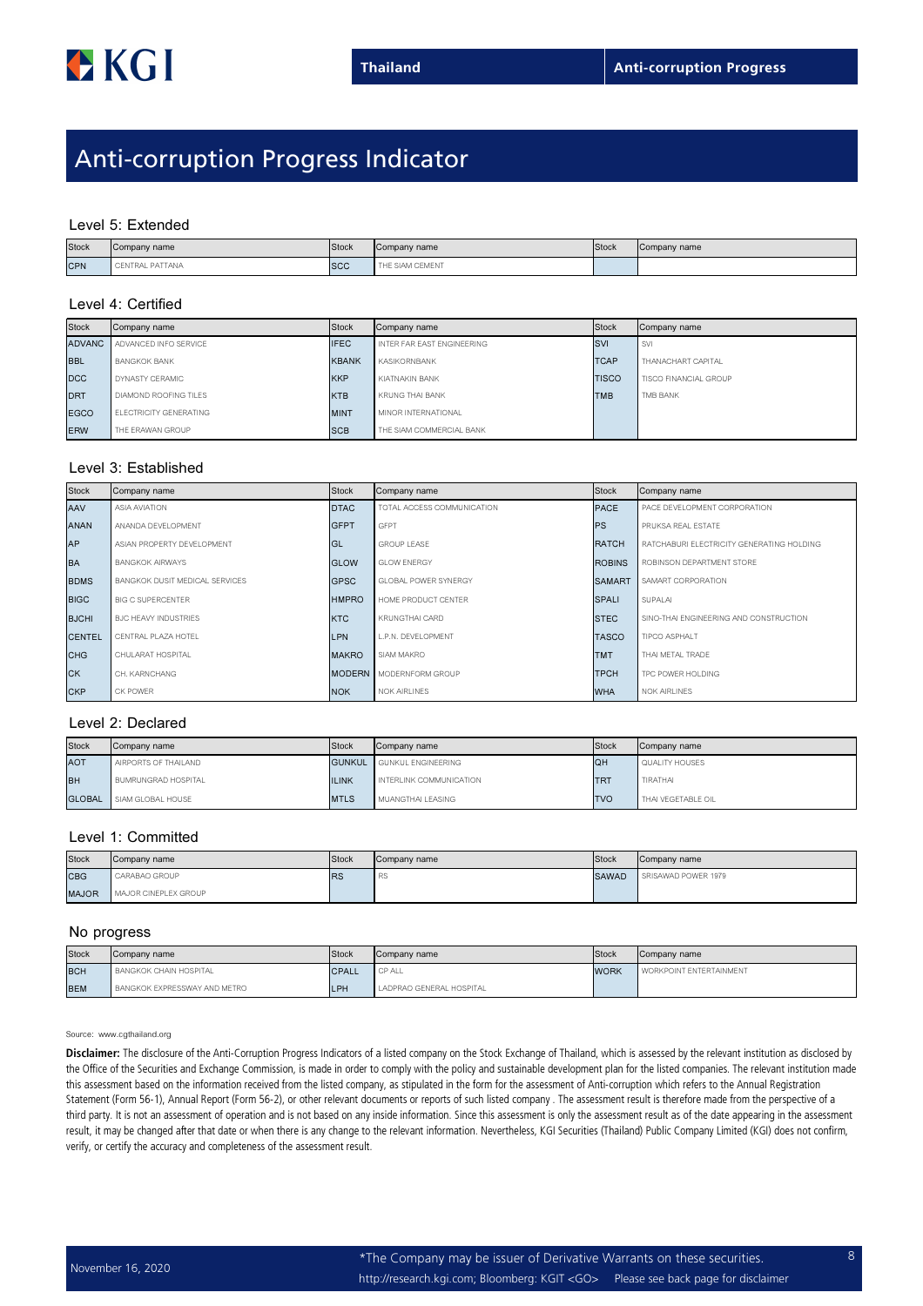## Anti-corruption Progress Indicator

#### Level 5: Extended

| <b>Stock</b> | Company name    | Stock      | Company name    | Stock | Company name |
|--------------|-----------------|------------|-----------------|-------|--------------|
| <b>CPN</b>   | CENTRAL PATTANA | <b>SCC</b> | THE SIAM CEMENT |       |              |

#### Level 4: Certified

| <b>Stock</b> | Company name                  | Stock        | Company name               | Stock        | Company name                 |
|--------------|-------------------------------|--------------|----------------------------|--------------|------------------------------|
| ADVANC I     | ADVANCED INFO SERVICE         | <b>IFEC</b>  | INTER FAR EAST ENGINEERING | <b>SVI</b>   | <b>SVI</b>                   |
| <b>BBL</b>   | <b>BANGKOK BANK</b>           | <b>KBANK</b> | KASIKORNBANK               | <b>TCAP</b>  | THANACHART CAPITAL           |
| <b>DCC</b>   | DYNASTY CERAMIC               | <b>KKP</b>   | KIATNAKIN BANK             | <b>TISCO</b> | <b>TISCO FINANCIAL GROUP</b> |
| <b>DRT</b>   | DIAMOND ROOFING TILES         | <b>KTB</b>   | KRUNG THAI BANK            | <b>TMB</b>   | TMB BANK                     |
| <b>EGCO</b>  | <b>ELECTRICITY GENERATING</b> | <b>MINT</b>  | MINOR INTERNATIONAL        |              |                              |
| <b>ERW</b>   | THE ERAWAN GROUP              | <b>ISCB</b>  | THE SIAM COMMERCIAL BANK   |              |                              |

#### Level 3: Established

| <b>Stock</b>  | Company name                          | <b>Stock</b> | Company name                   | Stock         | Company name                              |
|---------------|---------------------------------------|--------------|--------------------------------|---------------|-------------------------------------------|
| AAV           | <b>ASIA AVIATION</b>                  | <b>DTAC</b>  | TOTAL ACCESS COMMUNICATION     | <b>PACE</b>   | PACE DEVELOPMENT CORPORATION              |
| <b>ANAN</b>   | ANANDA DEVELOPMENT                    | <b>GFPT</b>  | <b>GFPT</b>                    | <b>PS</b>     | PRUKSA REAL ESTATE                        |
| AP            | ASIAN PROPERTY DEVELOPMENT            | IGL          | GROUP I FASE                   | <b>RATCH</b>  | RATCHABURI ELECTRICITY GENERATING HOLDING |
| <b>BA</b>     | <b>BANGKOK AIRWAYS</b>                | <b>GLOW</b>  | <b>GLOW ENERGY</b>             | <b>ROBINS</b> | ROBINSON DEPARTMENT STORE                 |
| <b>BDMS</b>   | <b>BANGKOK DUSIT MEDICAL SERVICES</b> | <b>GPSC</b>  | <b>GLOBAL POWER SYNERGY</b>    | <b>SAMART</b> | <b>SAMART CORPORATION</b>                 |
| <b>BIGC</b>   | <b>BIG C SUPERCENTER</b>              | <b>HMPRO</b> | HOME PRODUCT CENTER            | <b>SPALI</b>  | SUPALAI                                   |
| <b>BJCHI</b>  | <b>BJC HEAVY INDUSTRIES</b>           | <b>KTC</b>   | KRUNGTHAI CARD                 | <b>STEC</b>   | SINO-THAI ENGINEERING AND CONSTRUCTION    |
| <b>CENTEL</b> | CENTRAL PLAZA HOTEL                   | <b>LPN</b>   | L.P.N. DEVELOPMENT             | <b>TASCO</b>  | TIPCO ASPHALT                             |
| <b>CHG</b>    | CHULARAT HOSPITAL                     | <b>MAKRO</b> | SIAM MAKRO                     | <b>TMT</b>    | THAI METAL TRADE                          |
| <b>CK</b>     | CH. KARNCHANG                         |              | <b>MODERN</b> MODERNFORM GROUP | <b>TPCH</b>   | TPC POWER HOLDING                         |
| <b>CKP</b>    | CK POWER                              | <b>NOK</b>   | <b>NOK AIRLINES</b>            | <b>WHA</b>    | <b>NOK AIRLINES</b>                       |

#### Level 2: Declared

| <b>Stock</b>  | Company name         | Stock        | Company name                     | Stock      | Company name       |
|---------------|----------------------|--------------|----------------------------------|------------|--------------------|
| <b>AOT</b>    | AIRPORTS OF THAILAND |              | <b>GUNKUL</b> GUNKUL ENGINEERING | <b>QH</b>  | QUALITY HOUSES     |
| <b>BH</b>     | BUMRUNGRAD HOSPITAL  | <b>ILINK</b> | INTERLINK COMMUNICATION          | <b>ITR</b> | <b>TIRATHAI</b>    |
| <b>GLOBAL</b> | SIAM GLOBAL HOUSE    | <b>MTLS</b>  | MUANGTHAI LEASING                | <b>TVO</b> | THAI VEGETABLE OIL |

#### Level 1: Committed

| <b>Stock</b> | Company name         | <b>Stock</b> | Company name | <b>Stock</b> | Company name        |
|--------------|----------------------|--------------|--------------|--------------|---------------------|
| <b>CBG</b>   | CARABAO GROUP        | <b>RS</b>    | <b>RS</b>    | <b>SAWAD</b> | SRISAWAD POWER 1979 |
| <b>MAJOR</b> | MAJOR CINEPLEX GROUP |              |              |              |                     |

#### No progress

| <b>Stock</b> | Company name                  | <b>Stock</b> | Company name             | Stock       | Company name                   |
|--------------|-------------------------------|--------------|--------------------------|-------------|--------------------------------|
| <b>BCH</b>   | <b>BANGKOK CHAIN HOSPITAL</b> | <b>CPALL</b> | CP ALL                   | <b>WORK</b> | <b>WORKPOINT ENTERTAINMENT</b> |
| <b>BEM</b>   | BANGKOK EXPRESSWAY AND METRO  | <b>LPH</b>   | LADPRAO GENERAL HOSPITAL |             |                                |

Source: www.cgthailand.org

Disclaimer: The disclosure of the Anti-Corruption Progress Indicators of a listed company on the Stock Exchange of Thailand, which is assessed by the relevant institution as disclosed by the Office of the Securities and Exchange Commission, is made in order to comply with the policy and sustainable development plan for the listed companies. The relevant institution made this assessment based on the information received from the listed company, as stipulated in the form for the assessment of Anti-corruption which refers to the Annual Registration Statement (Form 56-1), Annual Report (Form 56-2), or other relevant documents or reports of such listed company . The assessment result is therefore made from the perspective of a third party. It is not an assessment of operation and is not based on any inside information. Since this assessment is only the assessment result as of the date appearing in the assessment result, it may be changed after that date or when there is any change to the relevant information. Nevertheless, KGI Securities (Thailand) Public Company Limited (KGI) does not confirm, verify, or certify the accuracy and completeness of the assessment result.